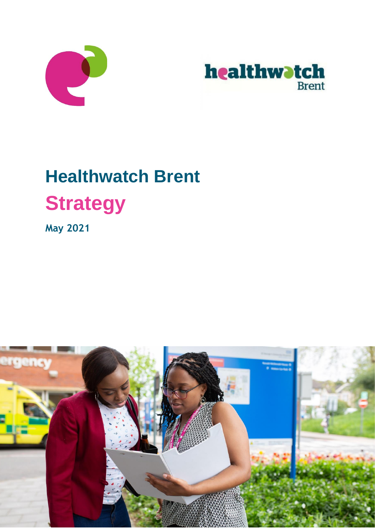



# **Healthwatch Brent Strategy**

**May 2021**

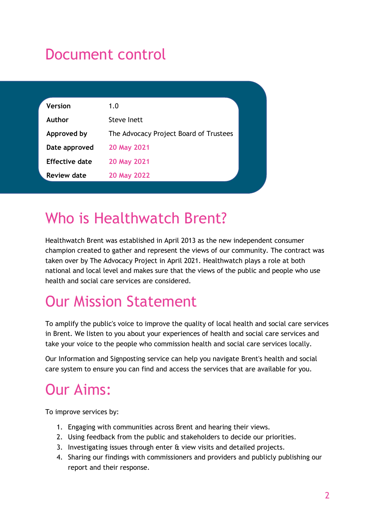# Document control

| <b>Version</b>     | 1.0                                    |  |
|--------------------|----------------------------------------|--|
| Author             | Steve Inett                            |  |
| Approved by        | The Advocacy Project Board of Trustees |  |
| Date approved      | 20 May 2021                            |  |
| Effective date     | 20 May 2021                            |  |
| <b>Review date</b> | 20 May 2022                            |  |
|                    |                                        |  |

## Who is Healthwatch Brent?

Healthwatch Brent was established in April 2013 as the new independent consumer champion created to gather and represent the views of our community. The contract was taken over by The Advocacy Project in April 2021. Healthwatch plays a role at both national and local level and makes sure that the views of the public and people who use health and social care services are considered.

# Our Mission Statement

To amplify the public's voice to improve the quality of local health and social care services in Brent. We listen to you about your experiences of health and social care services and take your voice to the people who commission health and social care services locally.

Our Information and Signposting service can help you navigate Brent's health and social care system to ensure you can find and access the services that are available for you.

# Our Aims:

To improve services by:

- 1. Engaging with communities across Brent and hearing their views.
- 2. Using feedback from the public and stakeholders to decide our priorities.
- 3. Investigating issues through enter & view visits and detailed projects.
- 4. Sharing our findings with commissioners and providers and publicly publishing our report and their response.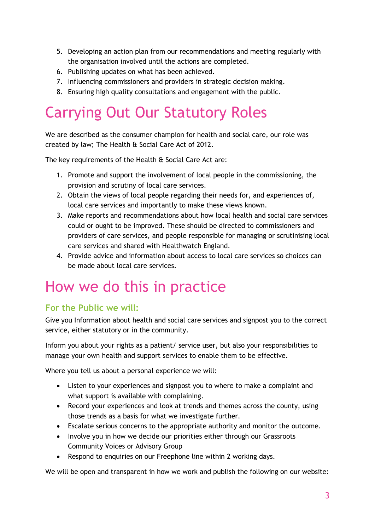- 5. Developing an action plan from our recommendations and meeting regularly with the organisation involved until the actions are completed.
- 6. Publishing updates on what has been achieved.
- 7. Influencing commissioners and providers in strategic decision making.
- 8. Ensuring high quality consultations and engagement with the public.

# Carrying Out Our Statutory Roles

We are described as the consumer champion for health and social care, our role was created by law; The Health & Social Care Act of 2012.

The key requirements of the Health & Social Care Act are:

- 1. Promote and support the involvement of local people in the commissioning, the provision and scrutiny of local care services.
- 2. Obtain the views of local people regarding their needs for, and experiences of, local care services and importantly to make these views known.
- 3. Make reports and recommendations about how local health and social care services could or ought to be improved. These should be directed to commissioners and providers of care services, and people responsible for managing or scrutinising local care services and shared with Healthwatch England.
- 4. Provide advice and information about access to local care services so choices can be made about local care services.

## How we do this in practice

### **For the Public we will:**

Give you Information about health and social care services and signpost you to the correct service, either statutory or in the community.

Inform you about your rights as a patient/ service user, but also your responsibilities to manage your own health and support services to enable them to be effective.

Where you tell us about a personal experience we will:

- Listen to your experiences and signpost you to where to make a complaint and what support is available with complaining.
- Record your experiences and look at trends and themes across the county, using those trends as a basis for what we investigate further.
- Escalate serious concerns to the appropriate authority and monitor the outcome.
- Involve you in how we decide our priorities either through our Grassroots Community Voices or Advisory Group
- Respond to enquiries on our Freephone line within 2 working days.

We will be open and transparent in how we work and publish the following on our website: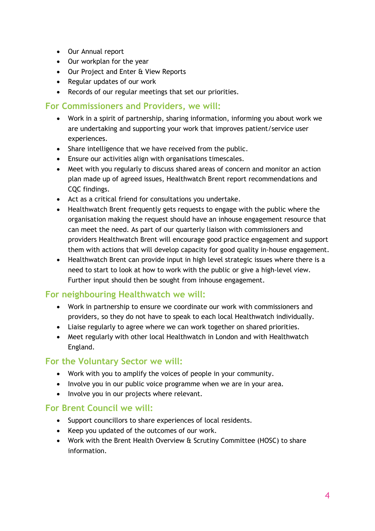- Our Annual report
- Our workplan for the year
- Our Project and Enter & View Reports
- Regular updates of our work
- Records of our regular meetings that set our priorities.

### **For Commissioners and Providers, we will:**

- Work in a spirit of partnership, sharing information, informing you about work we are undertaking and supporting your work that improves patient/service user experiences.
- Share intelligence that we have received from the public.
- Ensure our activities align with organisations timescales.
- Meet with you regularly to discuss shared areas of concern and monitor an action plan made up of agreed issues, Healthwatch Brent report recommendations and CQC findings.
- Act as a critical friend for consultations you undertake.
- Healthwatch Brent frequently gets requests to engage with the public where the organisation making the request should have an inhouse engagement resource that can meet the need. As part of our quarterly liaison with commissioners and providers Healthwatch Brent will encourage good practice engagement and support them with actions that will develop capacity for good quality in-house engagement.
- Healthwatch Brent can provide input in high level strategic issues where there is a need to start to look at how to work with the public or give a high-level view. Further input should then be sought from inhouse engagement.

### **For neighbouring Healthwatch we will:**

- Work in partnership to ensure we coordinate our work with commissioners and providers, so they do not have to speak to each local Healthwatch individually.
- Liaise regularly to agree where we can work together on shared priorities.
- Meet regularly with other local Healthwatch in London and with Healthwatch England.

### **For the Voluntary Sector we will:**

- Work with you to amplify the voices of people in your community.
- Involve you in our public voice programme when we are in your area.
- Involve you in our projects where relevant.

### **For Brent Council we will:**

- Support councillors to share experiences of local residents.
- Keep you updated of the outcomes of our work.
- Work with the Brent Health Overview & Scrutiny Committee (HOSC) to share information.